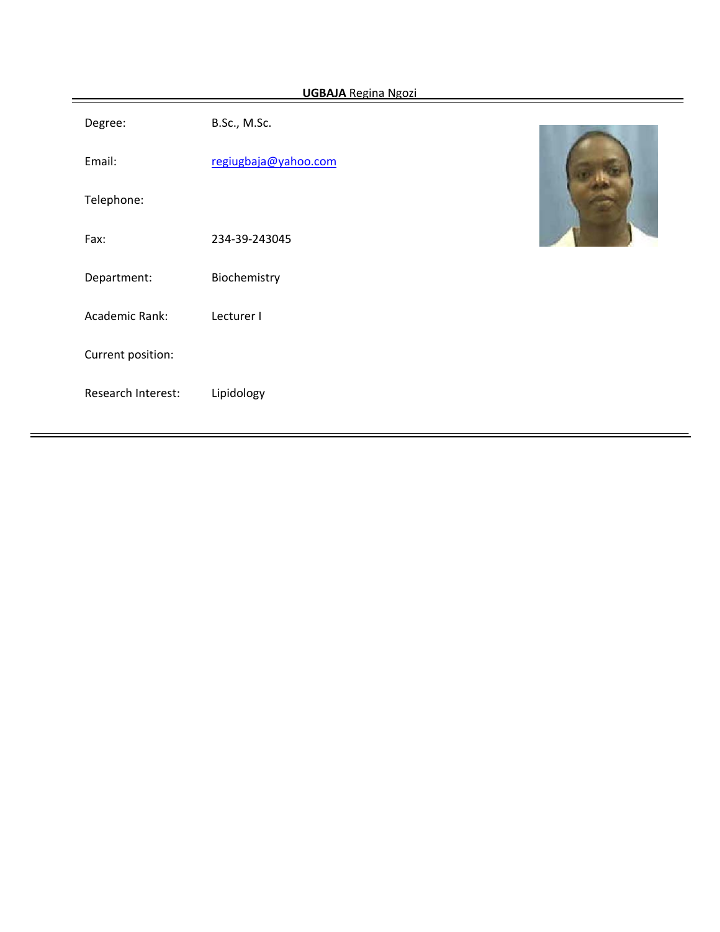| <b>UGBAJA Regina Ngozi</b> |                      |  |  |  |  |  |
|----------------------------|----------------------|--|--|--|--|--|
| Degree:                    | B.Sc., M.Sc.         |  |  |  |  |  |
| Email:                     | regiugbaja@yahoo.com |  |  |  |  |  |
| Telephone:                 |                      |  |  |  |  |  |
| Fax:                       | 234-39-243045        |  |  |  |  |  |
| Department:                | Biochemistry         |  |  |  |  |  |
| Academic Rank:             | Lecturer I           |  |  |  |  |  |
| Current position:          |                      |  |  |  |  |  |
| Research Interest:         | Lipidology           |  |  |  |  |  |
|                            |                      |  |  |  |  |  |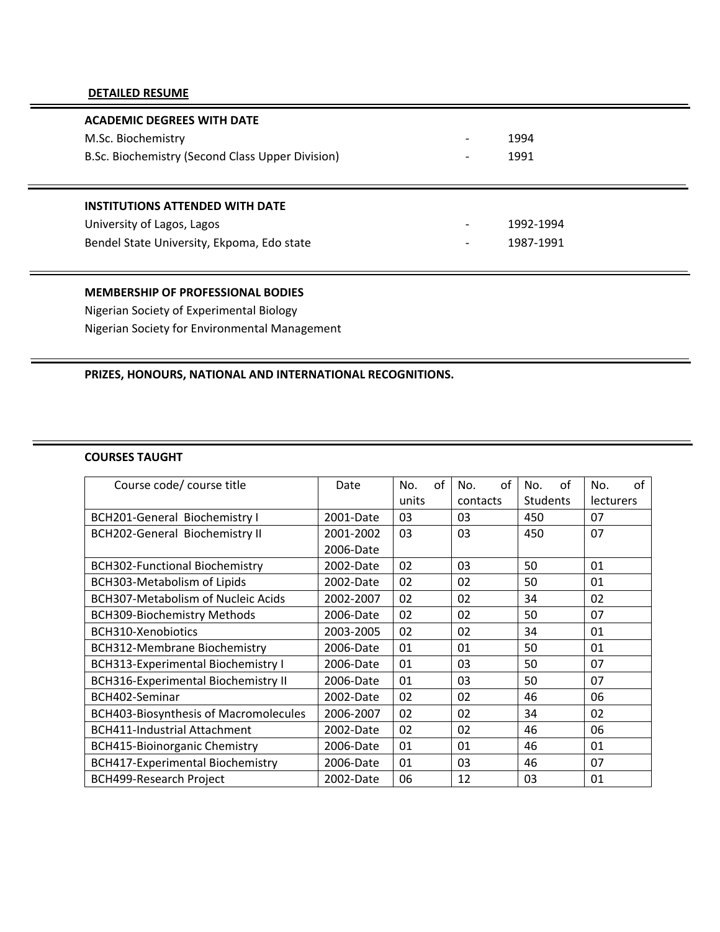#### **DETAILED RESUME**

| <b>ACADEMIC DEGREES WITH DATE</b>                |                          |           |  |
|--------------------------------------------------|--------------------------|-----------|--|
| M.Sc. Biochemistry                               | $\overline{\phantom{0}}$ | 1994      |  |
| B.Sc. Biochemistry (Second Class Upper Division) | $\overline{\phantom{a}}$ | 1991      |  |
|                                                  |                          |           |  |
|                                                  |                          |           |  |
| <b>INSTITUTIONS ATTENDED WITH DATE</b>           |                          |           |  |
| University of Lagos, Lagos                       | $\overline{\phantom{0}}$ | 1992-1994 |  |
| Bendel State University, Ekpoma, Edo state       | $\overline{\phantom{a}}$ | 1987-1991 |  |

# **MEMBERSHIP OF PROFESSIONAL BODIES**

Nigerian Society of Experimental Biology Nigerian Society for Environmental Management

## **PRIZES, HONOURS, NATIONAL AND INTERNATIONAL RECOGNITIONS.**

#### **COURSES TAUGHT**

| Course code/ course title                    | Date      | οf<br>No. | of<br>No. | οf<br>No.       | of<br>No.        |
|----------------------------------------------|-----------|-----------|-----------|-----------------|------------------|
|                                              |           | units     | contacts  | <b>Students</b> | <b>lecturers</b> |
| BCH201-General Biochemistry I                | 2001-Date | 03        | 03        | 450             | 07               |
| <b>BCH202-General Biochemistry II</b>        | 2001-2002 | 03        | 03        | 450             | 07               |
|                                              | 2006-Date |           |           |                 |                  |
| <b>BCH302-Functional Biochemistry</b>        | 2002-Date | 02        | 03        | 50              | 01               |
| BCH303-Metabolism of Lipids                  | 2002-Date | 02        | 02        | 50              | 01               |
| <b>BCH307-Metabolism of Nucleic Acids</b>    | 2002-2007 | 02        | 02        | 34              | 02               |
| <b>BCH309-Biochemistry Methods</b>           | 2006-Date | 02        | 02        | 50              | 07               |
| BCH310-Xenobiotics                           | 2003-2005 | 02        | 02        | 34              | 01               |
| BCH312-Membrane Biochemistry                 | 2006-Date | 01        | 01        | 50              | 01               |
| BCH313-Experimental Biochemistry I           | 2006-Date | 01        | 03        | 50              | 07               |
| <b>BCH316-Experimental Biochemistry II</b>   | 2006-Date | 01        | 03        | 50              | 07               |
| BCH402-Seminar                               | 2002-Date | 02        | 02        | 46              | 06               |
| <b>BCH403-Biosynthesis of Macromolecules</b> | 2006-2007 | 02        | 02        | 34              | 02               |
| <b>BCH411-Industrial Attachment</b>          | 2002-Date | 02        | 02        | 46              | 06               |
| <b>BCH415-Bioinorganic Chemistry</b>         | 2006-Date | 01        | 01        | 46              | 01               |
| BCH417-Experimental Biochemistry             | 2006-Date | 01        | 03        | 46              | 07               |
| <b>BCH499-Research Project</b>               | 2002-Date | 06        | 12        | 03              | 01               |